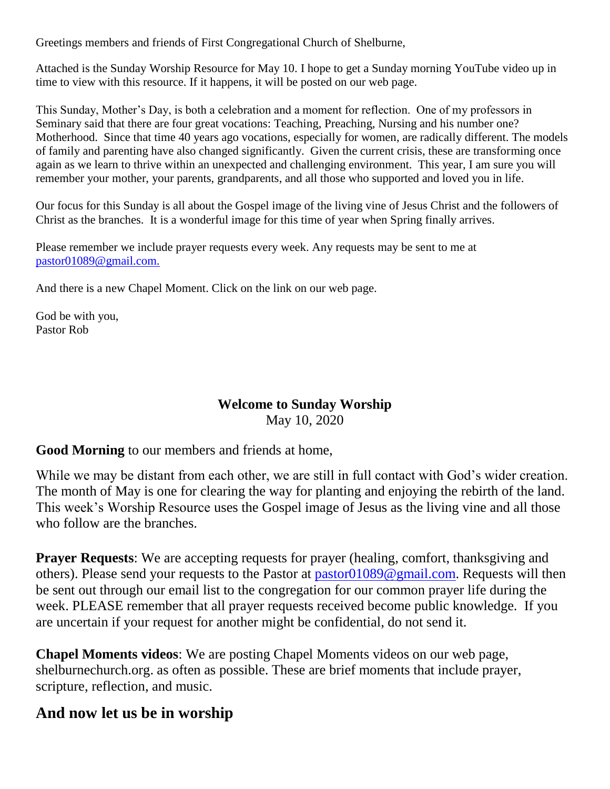Greetings members and friends of First Congregational Church of Shelburne,

Attached is the Sunday Worship Resource for May 10. I hope to get a Sunday morning YouTube video up in time to view with this resource. If it happens, it will be posted on our web page.

This Sunday, Mother's Day, is both a celebration and a moment for reflection. One of my professors in Seminary said that there are four great vocations: Teaching, Preaching, Nursing and his number one? Motherhood. Since that time 40 years ago vocations, especially for women, are radically different. The models of family and parenting have also changed significantly. Given the current crisis, these are transforming once again as we learn to thrive within an unexpected and challenging environment. This year, I am sure you will remember your mother, your parents, grandparents, and all those who supported and loved you in life.

Our focus for this Sunday is all about the Gospel image of the living vine of Jesus Christ and the followers of Christ as the branches. It is a wonderful image for this time of year when Spring finally arrives.

Please remember we include prayer requests every week. Any requests may be sent to me at [pastor01089@gmail.com.](mailto:pastor01089@gmail.com)

And there is a new Chapel Moment. Click on the link on our web page.

God be with you, Pastor Rob

# **Welcome to Sunday Worship**

May 10, 2020

**Good Morning** to our members and friends at home,

While we may be distant from each other, we are still in full contact with God's wider creation. The month of May is one for clearing the way for planting and enjoying the rebirth of the land. This week's Worship Resource uses the Gospel image of Jesus as the living vine and all those who follow are the branches.

**Prayer Requests:** We are accepting requests for prayer (healing, comfort, thanksgiving and others). Please send your requests to the Pastor at [pastor01089@gmail.com.](mailto:pastor01089@gmail.com) Requests will then be sent out through our email list to the congregation for our common prayer life during the week. PLEASE remember that all prayer requests received become public knowledge. If you are uncertain if your request for another might be confidential, do not send it.

**Chapel Moments videos**: We are posting Chapel Moments videos on our web page, shelburnechurch.org. as often as possible. These are brief moments that include prayer, scripture, reflection, and music.

# **And now let us be in worship**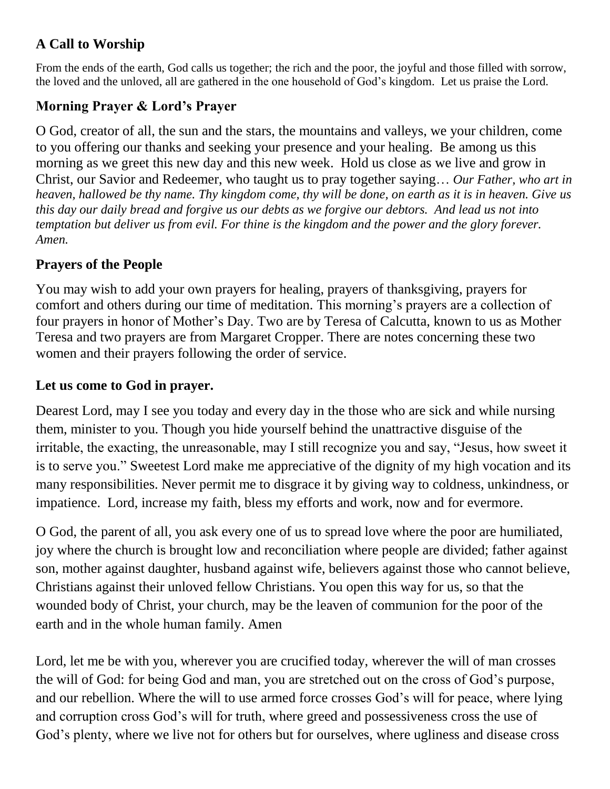## **A Call to Worship**

From the ends of the earth, God calls us together; the rich and the poor, the joyful and those filled with sorrow, the loved and the unloved, all are gathered in the one household of God's kingdom. Let us praise the Lord.

# **Morning Prayer & Lord's Prayer**

O God, creator of all, the sun and the stars, the mountains and valleys, we your children, come to you offering our thanks and seeking your presence and your healing. Be among us this morning as we greet this new day and this new week. Hold us close as we live and grow in Christ, our Savior and Redeemer, who taught us to pray together saying… *Our Father, who art in heaven, hallowed be thy name. Thy kingdom come, thy will be done, on earth as it is in heaven. Give us this day our daily bread and forgive us our debts as we forgive our debtors. And lead us not into temptation but deliver us from evil. For thine is the kingdom and the power and the glory forever. Amen.*

## **Prayers of the People**

You may wish to add your own prayers for healing, prayers of thanksgiving, prayers for comfort and others during our time of meditation. This morning's prayers are a collection of four prayers in honor of Mother's Day. Two are by Teresa of Calcutta, known to us as Mother Teresa and two prayers are from Margaret Cropper. There are notes concerning these two women and their prayers following the order of service.

## **Let us come to God in prayer.**

Dearest Lord, may I see you today and every day in the those who are sick and while nursing them, minister to you. Though you hide yourself behind the unattractive disguise of the irritable, the exacting, the unreasonable, may I still recognize you and say, "Jesus, how sweet it is to serve you." Sweetest Lord make me appreciative of the dignity of my high vocation and its many responsibilities. Never permit me to disgrace it by giving way to coldness, unkindness, or impatience. Lord, increase my faith, bless my efforts and work, now and for evermore.

O God, the parent of all, you ask every one of us to spread love where the poor are humiliated, joy where the church is brought low and reconciliation where people are divided; father against son, mother against daughter, husband against wife, believers against those who cannot believe, Christians against their unloved fellow Christians. You open this way for us, so that the wounded body of Christ, your church, may be the leaven of communion for the poor of the earth and in the whole human family. Amen

Lord, let me be with you, wherever you are crucified today, wherever the will of man crosses the will of God: for being God and man, you are stretched out on the cross of God's purpose, and our rebellion. Where the will to use armed force crosses God's will for peace, where lying and corruption cross God's will for truth, where greed and possessiveness cross the use of God's plenty, where we live not for others but for ourselves, where ugliness and disease cross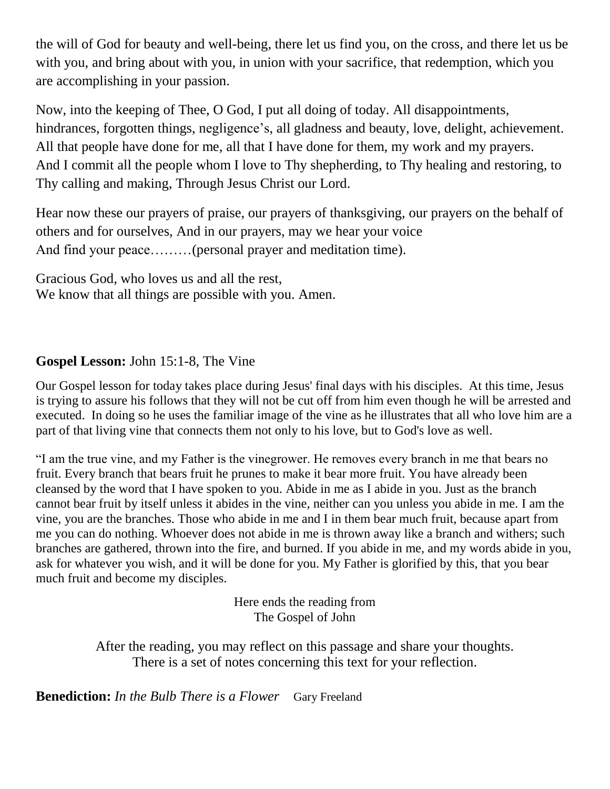the will of God for beauty and well-being, there let us find you, on the cross, and there let us be with you, and bring about with you, in union with your sacrifice, that redemption, which you are accomplishing in your passion.

Now, into the keeping of Thee, O God, I put all doing of today. All disappointments, hindrances, forgotten things, negligence's, all gladness and beauty, love, delight, achievement. All that people have done for me, all that I have done for them, my work and my prayers. And I commit all the people whom I love to Thy shepherding, to Thy healing and restoring, to Thy calling and making, Through Jesus Christ our Lord.

Hear now these our prayers of praise, our prayers of thanksgiving, our prayers on the behalf of others and for ourselves, And in our prayers, may we hear your voice And find your peace………(personal prayer and meditation time).

Gracious God, who loves us and all the rest, We know that all things are possible with you. Amen.

## **Gospel Lesson:** John 15:1-8, The Vine

Our Gospel lesson for today takes place during Jesus' final days with his disciples. At this time, Jesus is trying to assure his follows that they will not be cut off from him even though he will be arrested and executed. In doing so he uses the familiar image of the vine as he illustrates that all who love him are a part of that living vine that connects them not only to his love, but to God's love as well.

"I am the true vine, and my Father is the vinegrower. He removes every branch in me that bears no fruit. Every branch that bears fruit he prunes to make it bear more fruit. You have already been cleansed by the word that I have spoken to you. Abide in me as I abide in you. Just as the branch cannot bear fruit by itself unless it abides in the vine, neither can you unless you abide in me. I am the vine, you are the branches. Those who abide in me and I in them bear much fruit, because apart from me you can do nothing. Whoever does not abide in me is thrown away like a branch and withers; such branches are gathered, thrown into the fire, and burned. If you abide in me, and my words abide in you, ask for whatever you wish, and it will be done for you. My Father is glorified by this, that you bear much fruit and become my disciples.

> Here ends the reading from The Gospel of John

After the reading, you may reflect on this passage and share your thoughts. There is a set of notes concerning this text for your reflection.

**Benediction:** *In the Bulb There is a Flower*Gary Freeland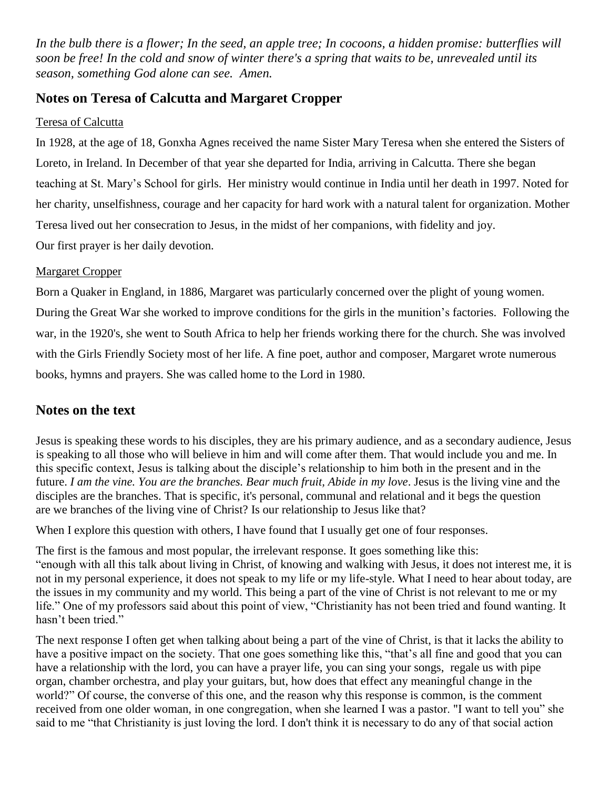*In the bulb there is a flower; In the seed, an apple tree; In cocoons, a hidden promise: butterflies will soon be free! In the cold and snow of winter there's a spring that waits to be, unrevealed until its season, something God alone can see. Amen.*

#### **Notes on Teresa of Calcutta and Margaret Cropper**

#### Teresa of Calcutta

In 1928, at the age of 18, Gonxha Agnes received the name Sister Mary Teresa when she entered the Sisters of Loreto, in Ireland. In December of that year she departed for India, arriving in Calcutta. There she began teaching at St. Mary's School for girls. Her ministry would continue in India until her death in 1997. Noted for her charity, unselfishness, courage and her capacity for hard work with a natural talent for organization. Mother Teresa lived out her consecration to Jesus, in the midst of her companions, with fidelity and joy. Our first prayer is her daily devotion.

#### Margaret Cropper

Born a Quaker in England, in 1886, Margaret was particularly concerned over the plight of young women. During the Great War she worked to improve conditions for the girls in the munition's factories. Following the war, in the 1920's, she went to South Africa to help her friends working there for the church. She was involved with the Girls Friendly Society most of her life. A fine poet, author and composer, Margaret wrote numerous books, hymns and prayers. She was called home to the Lord in 1980.

#### **Notes on the text**

Jesus is speaking these words to his disciples, they are his primary audience, and as a secondary audience, Jesus is speaking to all those who will believe in him and will come after them. That would include you and me. In this specific context, Jesus is talking about the disciple's relationship to him both in the present and in the future. *I am the vine. You are the branches. Bear much fruit, Abide in my love*. Jesus is the living vine and the disciples are the branches. That is specific, it's personal, communal and relational and it begs the question are we branches of the living vine of Christ? Is our relationship to Jesus like that?

When I explore this question with others, I have found that I usually get one of four responses.

The first is the famous and most popular, the irrelevant response. It goes something like this: "enough with all this talk about living in Christ, of knowing and walking with Jesus, it does not interest me, it is not in my personal experience, it does not speak to my life or my life-style. What I need to hear about today, are the issues in my community and my world. This being a part of the vine of Christ is not relevant to me or my life." One of my professors said about this point of view, "Christianity has not been tried and found wanting. It hasn't been tried."

The next response I often get when talking about being a part of the vine of Christ, is that it lacks the ability to have a positive impact on the society. That one goes something like this, "that's all fine and good that you can have a relationship with the lord, you can have a prayer life, you can sing your songs, regale us with pipe organ, chamber orchestra, and play your guitars, but, how does that effect any meaningful change in the world?" Of course, the converse of this one, and the reason why this response is common, is the comment received from one older woman, in one congregation, when she learned I was a pastor. "I want to tell you" she said to me "that Christianity is just loving the lord. I don't think it is necessary to do any of that social action